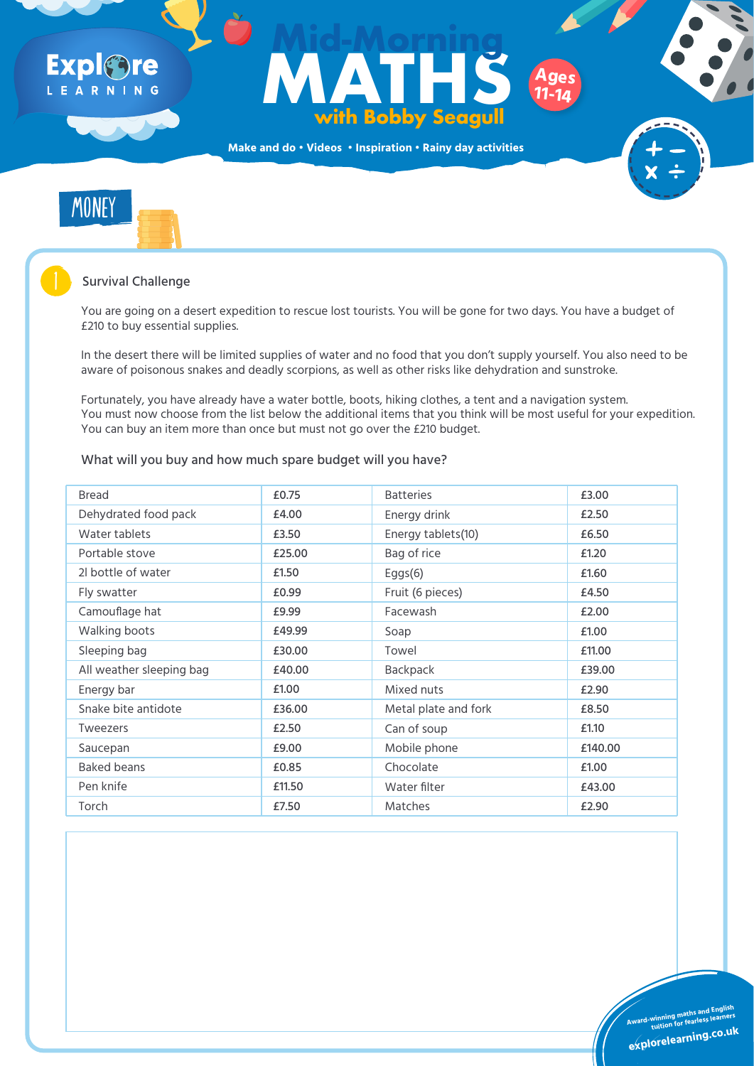**Make and do • Videos • Inspiration • Rainy day activities**



#### **Easter egg Survival Challenge**

### Expl&te LEARNING

## Ages<br>
With Bobby Seagull<br>
ddo · Videos · Inspiration · Rainy day activities **MATHS with Bobby Seagull Mid-Morning Ages 11-14**

You are going on a desert expedition to rescue lost tourists. You will be gone for two days. You have a budget of £210 to buy essential supplies.

In the desert there will be limited supplies of water and no food that you don't supply yourself. You also need to be aware of poisonous snakes and deadly scorpions, as well as other risks like dehydration and sunstroke.



Fortunately, you have already have a water bottle, boots, hiking clothes, a tent and a navigation system. You must now choose from the list below the additional items that you think will be most useful for your expedition. You can buy an item more than once but must not go over the £210 budget.

What will you buy and how much spare budget will you have?

| <b>Bread</b>             | £0.75  | <b>Batteries</b>     | £3.00   |
|--------------------------|--------|----------------------|---------|
| Dehydrated food pack     | £4.00  | Energy drink         | £2.50   |
| Water tablets            | £3.50  | Energy tablets(10)   | £6.50   |
| Portable stove           | £25.00 | Bag of rice          | £1.20   |
| 2l bottle of water       | £1.50  | Eggs(6)              | £1.60   |
| Fly swatter              | £0.99  | Fruit (6 pieces)     | £4.50   |
| Camouflage hat           | £9.99  | Facewash             | £2.00   |
| <b>Walking boots</b>     | £49.99 | Soap                 | £1.00   |
| Sleeping bag             | £30.00 | Towel                | £11.00  |
| All weather sleeping bag | £40.00 | <b>Backpack</b>      | £39.00  |
| <b>Energy bar</b>        | £1.00  | Mixed nuts           | £2.90   |
| Snake bite antidote      | £36.00 | Metal plate and fork | £8.50   |
| <b>Tweezers</b>          | £2.50  | Can of soup          | £1.10   |
| Saucepan                 | £9.00  | Mobile phone         | £140.00 |
| <b>Baked beans</b>       | £0.85  | Chocolate            | £1.00   |
| Pen knife                | £11.50 | <b>Water filter</b>  | £43.00  |
| Torch                    | £7.50  | Matches              | £2.90   |